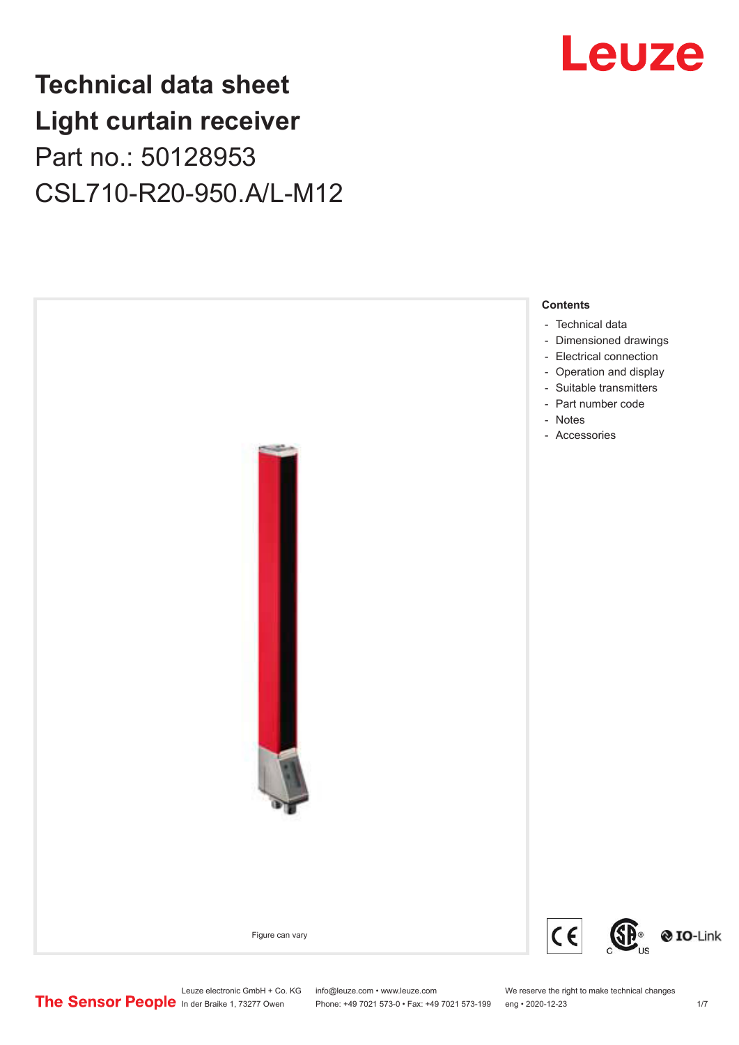## **Technical data sheet Light curtain receiver** Part no.: 50128953 CSL710-R20-950.A/L-M12



Leuze electronic GmbH + Co. KG info@leuze.com • www.leuze.com We reserve the right to make technical changes<br>
The Sensor People in der Braike 1, 73277 Owen Phone: +49 7021 573-0 • Fax: +49 7021 573-199 eng • 2020-12-23

Phone: +49 7021 573-0 • Fax: +49 7021 573-199 eng • 2020-12-23 1 /7



## Leuze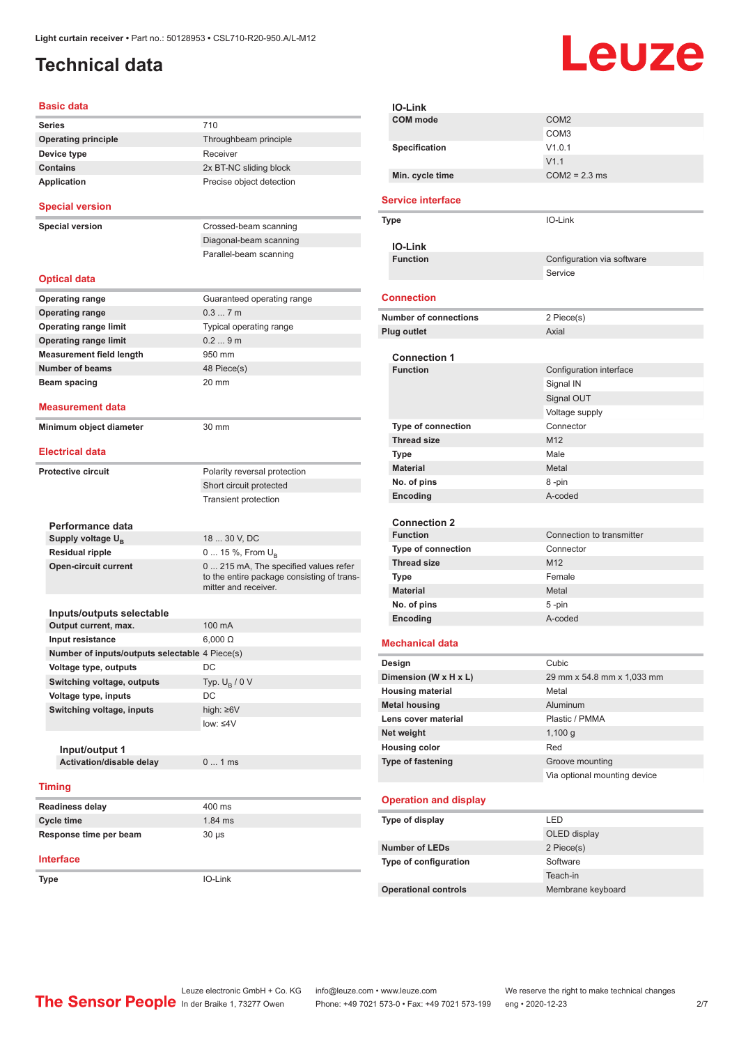## <span id="page-1-0"></span>**Technical data**

# Leuze

| <b>Basic data</b>                              |                                                                                                             |  |  |
|------------------------------------------------|-------------------------------------------------------------------------------------------------------------|--|--|
| <b>Series</b>                                  | 710                                                                                                         |  |  |
| <b>Operating principle</b>                     | Throughbeam principle                                                                                       |  |  |
| Receiver<br>Device type                        |                                                                                                             |  |  |
| <b>Contains</b><br>2x BT-NC sliding block      |                                                                                                             |  |  |
| <b>Application</b>                             | Precise object detection                                                                                    |  |  |
| <b>Special version</b>                         |                                                                                                             |  |  |
| <b>Special version</b>                         | Crossed-beam scanning                                                                                       |  |  |
|                                                | Diagonal-beam scanning                                                                                      |  |  |
|                                                | Parallel-beam scanning                                                                                      |  |  |
| <b>Optical data</b>                            |                                                                                                             |  |  |
| <b>Operating range</b>                         | Guaranteed operating range                                                                                  |  |  |
| <b>Operating range</b>                         | 0.37m                                                                                                       |  |  |
| <b>Operating range limit</b>                   | Typical operating range                                                                                     |  |  |
| <b>Operating range limit</b>                   | 0.29m                                                                                                       |  |  |
| <b>Measurement field length</b>                | 950 mm                                                                                                      |  |  |
| <b>Number of beams</b>                         | 48 Piece(s)                                                                                                 |  |  |
| <b>Beam spacing</b>                            | 20 mm                                                                                                       |  |  |
| Measurement data                               |                                                                                                             |  |  |
| Minimum object diameter                        | 30 mm                                                                                                       |  |  |
| <b>Electrical data</b>                         |                                                                                                             |  |  |
| <b>Protective circuit</b>                      | Polarity reversal protection                                                                                |  |  |
|                                                | Short circuit protected                                                                                     |  |  |
|                                                | <b>Transient protection</b>                                                                                 |  |  |
|                                                |                                                                                                             |  |  |
| Performance data                               |                                                                                                             |  |  |
| Supply voltage U <sub>R</sub>                  | 18  30 V, DC                                                                                                |  |  |
| <b>Residual ripple</b>                         | 0  15 %, From $U_{\rm B}$                                                                                   |  |  |
| <b>Open-circuit current</b>                    | 0  215 mA, The specified values refer<br>to the entire package consisting of trans-<br>mitter and receiver. |  |  |
| Inputs/outputs selectable                      |                                                                                                             |  |  |
| Output current, max.                           | 100 mA                                                                                                      |  |  |
| Input resistance                               | $6,000 \Omega$                                                                                              |  |  |
| Number of inputs/outputs selectable 4 Piece(s) |                                                                                                             |  |  |
| Voltage type, outputs                          | DC                                                                                                          |  |  |
| Switching voltage, outputs                     | Typ. $U_R / 0 V$                                                                                            |  |  |
| Voltage type, inputs                           | DC                                                                                                          |  |  |
| Switching voltage, inputs                      | high: ≥6V                                                                                                   |  |  |
|                                                | low: $\leq 4V$                                                                                              |  |  |
|                                                |                                                                                                             |  |  |
| Input/output 1                                 |                                                                                                             |  |  |
| Activation/disable delay                       | 01ms                                                                                                        |  |  |
| <b>Timing</b>                                  |                                                                                                             |  |  |
| <b>Readiness delay</b>                         | 400 ms                                                                                                      |  |  |
| <b>Cycle time</b>                              | 1.84 ms                                                                                                     |  |  |
| Response time per beam                         | $30 \mu s$                                                                                                  |  |  |
| Interface                                      |                                                                                                             |  |  |
| Type                                           | IO-Link                                                                                                     |  |  |
|                                                |                                                                                                             |  |  |

| IO-Link                      |                              |
|------------------------------|------------------------------|
| <b>COM</b> mode              | COM <sub>2</sub>             |
|                              | COM <sub>3</sub>             |
| Specification                | V1.0.1                       |
|                              | V1.1                         |
| Min. cycle time              | $COM2 = 2.3$ ms              |
|                              |                              |
| <b>Service interface</b>     |                              |
| Type                         | IO-Link                      |
|                              |                              |
| <b>IO-Link</b>               |                              |
| <b>Function</b>              | Configuration via software   |
|                              | Service                      |
| <b>Connection</b>            |                              |
| <b>Number of connections</b> | 2 Piece(s)                   |
| Plug outlet                  | Axial                        |
|                              |                              |
| <b>Connection 1</b>          |                              |
| <b>Function</b>              | Configuration interface      |
|                              | Signal IN                    |
|                              | Signal OUT                   |
|                              | Voltage supply               |
| <b>Type of connection</b>    | Connector                    |
| <b>Thread size</b>           | M <sub>12</sub>              |
| Type                         | Male                         |
| <b>Material</b>              | Metal                        |
| No. of pins                  | 8-pin                        |
| Encoding                     | A-coded                      |
|                              |                              |
| <b>Connection 2</b>          |                              |
| <b>Function</b>              | Connection to transmitter    |
| Type of connection           | Connector                    |
| <b>Thread size</b>           | M <sub>12</sub>              |
| Type                         | Female                       |
| <b>Material</b>              | Metal                        |
| No. of pins                  | 5 -pin                       |
| Encoding                     | A-coded                      |
|                              |                              |
| <b>Mechanical data</b>       |                              |
| Design                       | Cubic                        |
| Dimension (W x H x L)        | 29 mm x 54.8 mm x 1,033 mm   |
| <b>Housing material</b>      | Metal                        |
| <b>Metal housing</b>         | Aluminum                     |
| Lens cover material          | Plastic / PMMA               |
| Net weight                   | 1,100 g                      |
| <b>Housing color</b>         | Red                          |
| Type of fastening            | Groove mounting              |
|                              | Via optional mounting device |
|                              |                              |
| <b>Operation and display</b> |                              |
| Type of display              | <b>LED</b>                   |
|                              | OLED display                 |
| <b>Number of LEDs</b>        | 2 Piece(s)                   |
| Type of configuration        | Software                     |
|                              | Teach-in                     |
| <b>Operational controls</b>  | Membrane keyboard            |
|                              |                              |

Leuze electronic GmbH + Co. KG info@leuze.com • www.leuze.com We reserve the right to make technical changes In der Braike 1, 73277 Owen Phone: +49 7021 573-0 • Fax: +49 7021 573-199 eng • 2020-12-23 2/7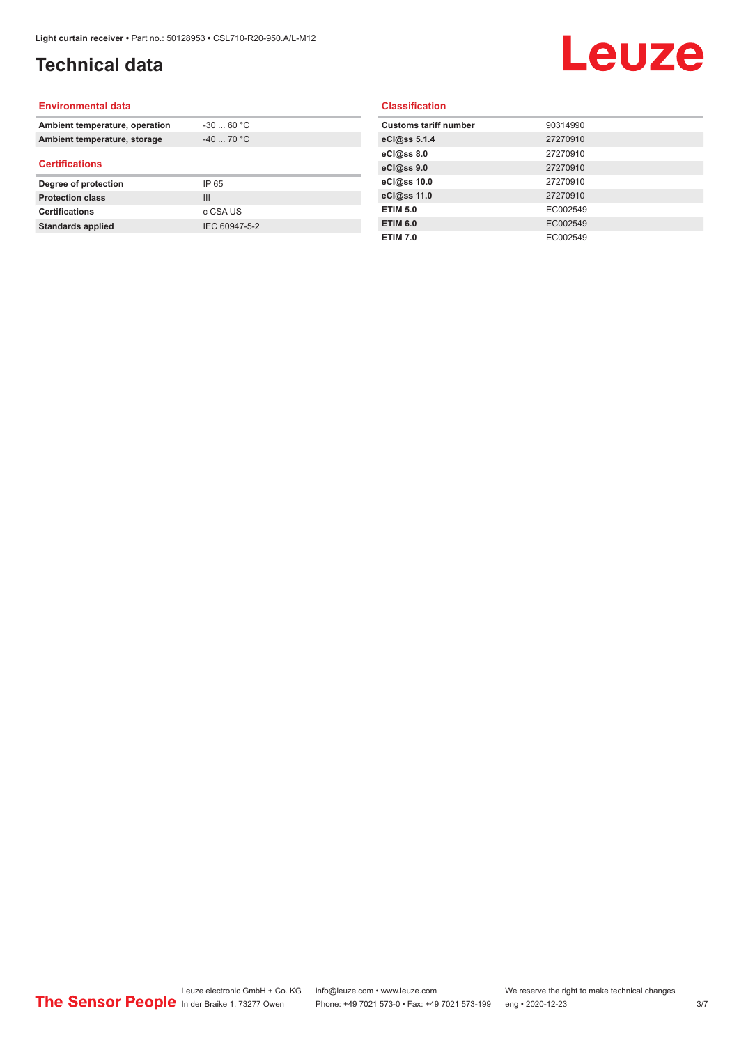## **Technical data**

## Leuze

#### **Environmental data**

| Ambient temperature, operation | $-3060 °C$     |  |
|--------------------------------|----------------|--|
| Ambient temperature, storage   | $-4070 °C$     |  |
| <b>Certifications</b>          |                |  |
| Degree of protection           | IP 65          |  |
| <b>Protection class</b>        | $\mathbf{III}$ |  |
| <b>Certifications</b>          | c CSA US       |  |
|                                |                |  |

#### **Classification**

| <b>Customs tariff number</b> | 90314990 |
|------------------------------|----------|
| eCl@ss 5.1.4                 | 27270910 |
| eCl@ss 8.0                   | 27270910 |
| eCl@ss 9.0                   | 27270910 |
| eCl@ss 10.0                  | 27270910 |
| eCl@ss 11.0                  | 27270910 |
| <b>ETIM 5.0</b>              | EC002549 |
| <b>ETIM 6.0</b>              | EC002549 |
| <b>ETIM 7.0</b>              | EC002549 |
|                              |          |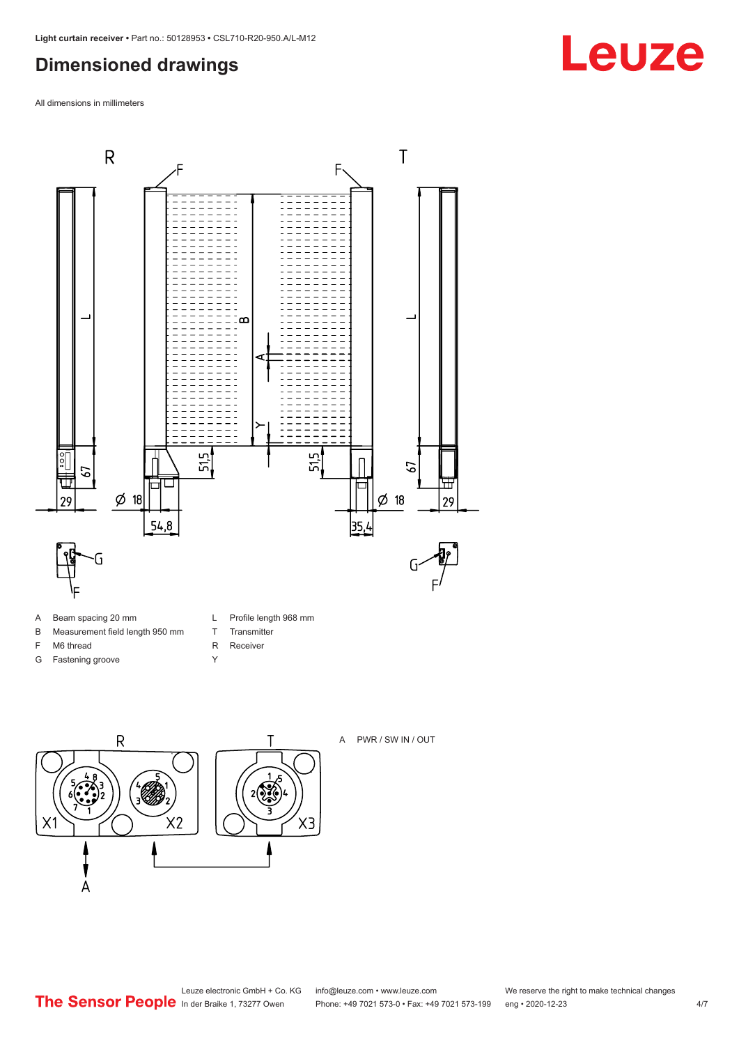### <span id="page-3-0"></span>**Dimensioned drawings**

All dimensions in millimeters



- B Measurement field length 950 mm
- 
- F M6 thread
- G Fastening groove
- L Profile length 968 mm

 $X3$ 

- T Transmitter
- R Receiver Y
- $\overline{R}$ Τ  $2\sqrt{2}$  $X<sub>2</sub>$ X1  $\overline{A}$

A PWR / SW IN / OUT

## **Leuze**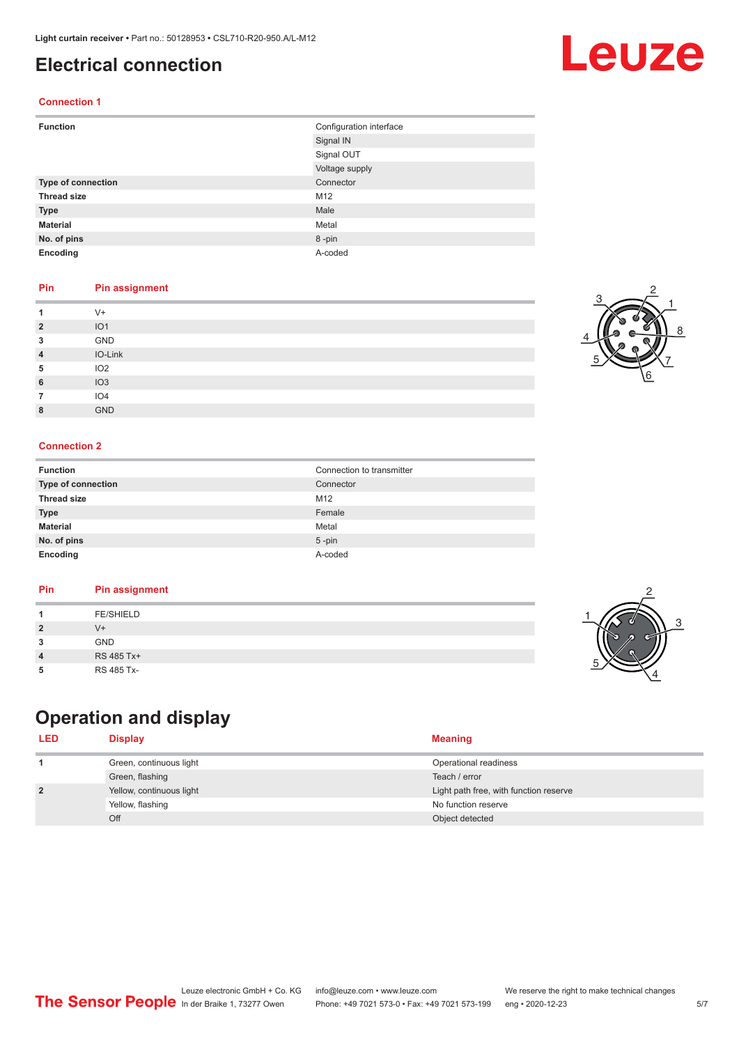### <span id="page-4-0"></span>**Electrical connection**

#### **Connection 1**

| <b>Function</b>    | Configuration interface |
|--------------------|-------------------------|
|                    | Signal IN               |
|                    | Signal OUT              |
|                    | Voltage supply          |
| Type of connection | Connector               |
| <b>Thread size</b> | M12                     |
| <b>Type</b>        | Male                    |
| <b>Material</b>    | Metal                   |
| No. of pins        | 8-pin                   |
| Encoding           | A-coded                 |

#### **Pin Pin assignment**

|                | $V +$           |
|----------------|-----------------|
| $\overline{2}$ | IO <sub>1</sub> |
| 3              | GND             |
| 4              | IO-Link         |
| 5              | IO <sub>2</sub> |
| 6              | IO3             |
|                | IO <sub>4</sub> |
| 8              | <b>GND</b>      |

#### **Connection 2**

| <b>Function</b>    | Connection to transmitter |
|--------------------|---------------------------|
| Type of connection | Connector                 |
| <b>Thread size</b> | M12                       |
| <b>Type</b>        | Female                    |
| <b>Material</b>    | Metal                     |
| No. of pins        | $5$ -pin                  |
| Encoding           | A-coded                   |

#### **Pin Pin assignment**

|--|

## **Operation and display**

| <b>LED</b>     | <b>Display</b>           | <b>Meaning</b>                         |
|----------------|--------------------------|----------------------------------------|
|                | Green, continuous light  | Operational readiness                  |
|                | Green, flashing          | Teach / error                          |
| $\overline{2}$ | Yellow, continuous light | Light path free, with function reserve |
|                | Yellow, flashing         | No function reserve                    |
|                | Off                      | Object detected                        |





3

2

4





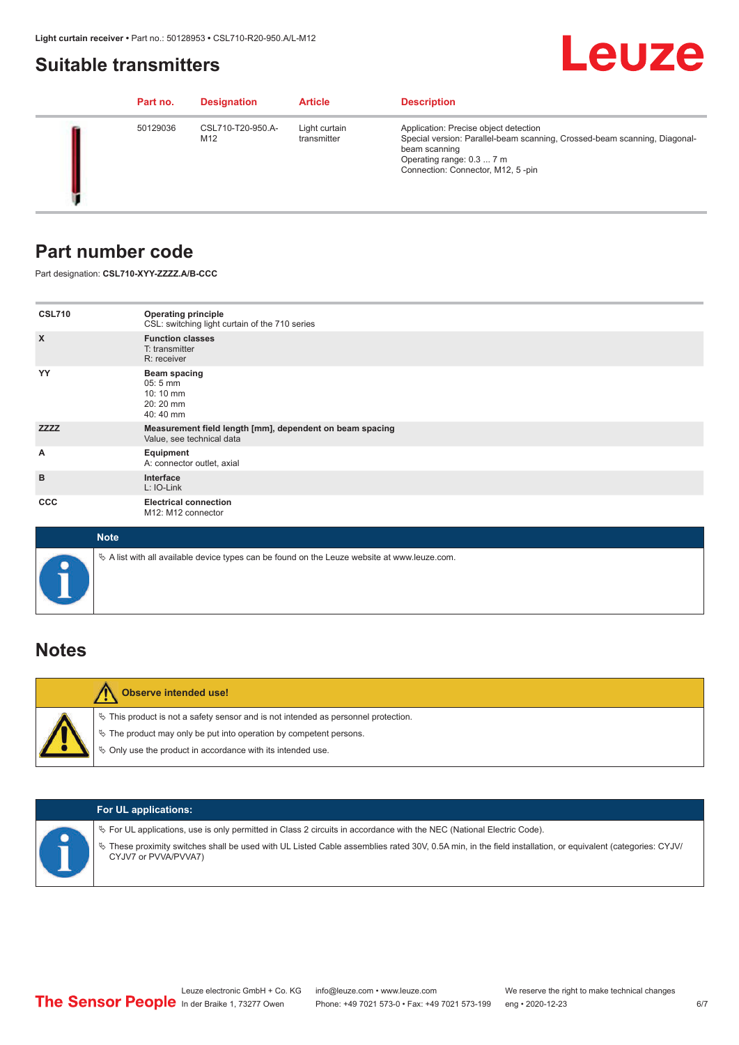### <span id="page-5-0"></span>**Suitable transmitters**

## Leuze

|  | Part no. | <b>Designation</b>       | <b>Article</b>               | <b>Description</b>                                                                                                                                                                                    |
|--|----------|--------------------------|------------------------------|-------------------------------------------------------------------------------------------------------------------------------------------------------------------------------------------------------|
|  | 50129036 | CSL710-T20-950.A-<br>M12 | Light curtain<br>transmitter | Application: Precise object detection<br>Special version: Parallel-beam scanning, Crossed-beam scanning, Diagonal-<br>beam scanning<br>Operating range: 0.3  7 m<br>Connection: Connector, M12, 5-pin |

### **Part number code**

Part designation: **CSL710-XYY-ZZZZ.A/B-CCC**

| <b>CSL710</b>             | <b>Operating principle</b><br>CSL: switching light curtain of the 710 series               |
|---------------------------|--------------------------------------------------------------------------------------------|
| $\boldsymbol{\mathsf{X}}$ | <b>Function classes</b><br>T: transmitter<br>R: receiver                                   |
| YY                        | <b>Beam spacing</b><br>$05:5 \, \text{mm}$<br>$10:10 \, \text{mm}$<br>20:20 mm<br>40:40 mm |
| <b>ZZZZ</b>               | Measurement field length [mm], dependent on beam spacing<br>Value, see technical data      |
| А                         | Equipment<br>A: connector outlet, axial                                                    |
| B                         | Interface<br>L: IO-Link                                                                    |
| <b>CCC</b>                | <b>Electrical connection</b><br>M12: M12 connector                                         |

| <b>Note</b>                                                                                  |
|----------------------------------------------------------------------------------------------|
| ∜ A list with all available device types can be found on the Leuze website at www.leuze.com. |

### **Notes**

| <b>Observe intended use!</b>                                                                                                                                                                                                     |
|----------------------------------------------------------------------------------------------------------------------------------------------------------------------------------------------------------------------------------|
| $\%$ This product is not a safety sensor and is not intended as personnel protection.<br>$\%$ The product may only be put into operation by competent persons.<br>$\%$ Only use the product in accordance with its intended use. |

|  | <b>For UL applications:</b>                                                                                                                                                                                                                                                                   |
|--|-----------------------------------------------------------------------------------------------------------------------------------------------------------------------------------------------------------------------------------------------------------------------------------------------|
|  | $\%$ For UL applications, use is only permitted in Class 2 circuits in accordance with the NEC (National Electric Code).<br>These proximity switches shall be used with UL Listed Cable assemblies rated 30V, 0.5A min, in the field installation, or equivalent (categories: CYJV/<br>$\phi$ |
|  | CYJV7 or PVVA/PVVA7)                                                                                                                                                                                                                                                                          |